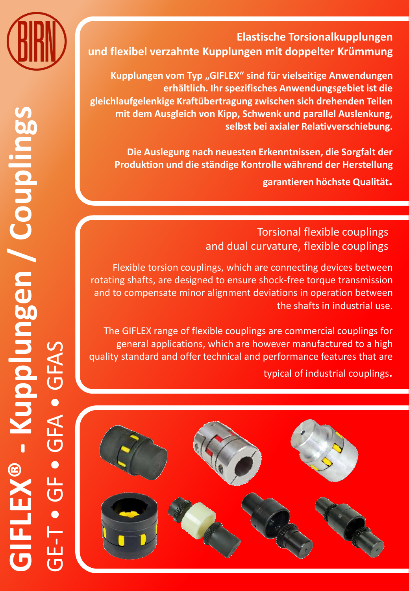

## **Elastische Torsionalkupplungen und flexibel verzahnte Kupplungen mit doppelter Krümmung**

**Kupplungen vom Typ "GIFLEX" sind für vielseitige Anwendungen erhältlich. Ihr spezifisches Anwendungsgebiet ist die gleichlaufgelenkige Kraftübertragung zwischen sich drehenden Teilen mit dem Ausgleich von Kipp, Schwenk und parallel Auslenkung, selbst bei axialer Relativverschiebung.**

**Die Auslegung nach neuesten Erkenntnissen, die Sorgfalt der Produktion und die ständige Kontrolle während der Herstellung garantieren höchste Qualität.**

> Torsional flexible couplings and dual curvature, flexible couplings

Flexible torsion couplings, which are connecting devices between rotating shafts, are designed to ensure shock-free torque transmission and to compensate minor alignment deviations in operation between the shafts in industrial use.

The GIFLEX range of flexible couplings are commercial couplings for general applications, which are however manufactured to a high quality standard and offer technical and performance features that are

typical of industrial couplings.